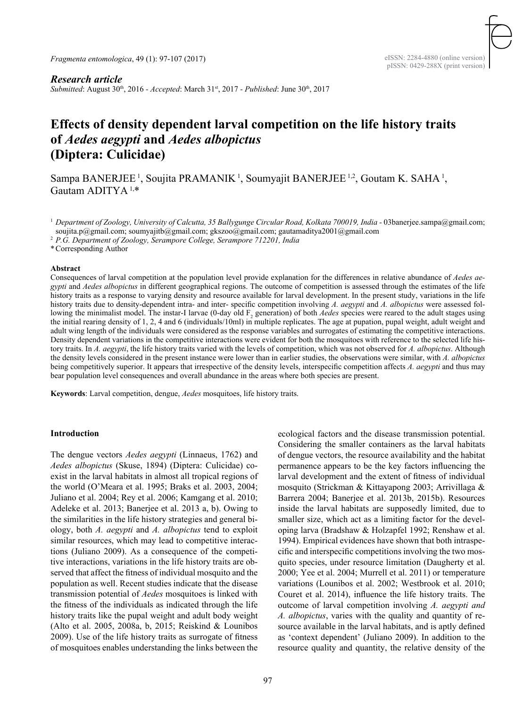*Fragmenta entomologica*, 49 (1): 97-107 (2017)

# *Research article*

*Submitted*: August 30th, 2016 *- Accepted*: March 31st, 2017 *- Published*: June 30th, 2017

# **Effects of density dependent larval competition on the life history traits of** *Aedes aegypti* **and** *Aedes albopictus* **(Diptera: Culicidae)**

Sampa BANERJEE<sup>1</sup>, Soujita PRAMANIK<sup>1</sup>, Soumyajit BANERJEE<sup>1,2</sup>, Goutam K. SAHA<sup>1</sup>, Gautam ADITYA 1,\*

<sup>1</sup> Department of Zoology, University of Calcutta, 35 Ballygunge Circular Road, Kolkata 700019, India - 03banerjee.sampa@gmail.com; soujita.p@gmail.com; soumyajitb@gmail.com; gkszoo@gmail.com; gautamaditya2001@gmail.com

<sup>2</sup> *P.G. Department of Zoology, Serampore College, Serampore 712201, India*

\*Corresponding Author

#### **Abstract**

Consequences of larval competition at the population level provide explanation for the differences in relative abundance of *Aedes aegypti* and *Aedes albopictus* in different geographical regions. The outcome of competition is assessed through the estimates of the life history traits as a response to varying density and resource available for larval development. In the present study, variations in the life history traits due to density-dependent intra- and inter- specific competition involving *A. aegypti* and *A. albopictus* were assessed following the minimalist model. The instar-I larvae (0-day old  $F_2$  generation) of both *Aedes* species were reared to the adult stages using the initial rearing density of 1, 2, 4 and 6 (individuals/10ml) in multiple replicates. The age at pupation, pupal weight, adult weight and adult wing length of the individuals were considered as the response variables and surrogates of estimating the competitive interactions. Density dependent variations in the competitive interactions were evident for both the mosquitoes with reference to the selected life history traits. In *A. aegypti*, the life history traits varied with the levels of competition, which was not observed for *A. albopictus*. Although the density levels considered in the present instance were lower than in earlier studies, the observations were similar, with *A. albopictus* being competitively superior. It appears that irrespective of the density levels, interspecific competition affects *A. aegypti* and thus may bear population level consequences and overall abundance in the areas where both species are present.

**Keywords**: Larval competition, dengue, *Aedes* mosquitoes, life history traits.

#### **Introduction**

The dengue vectors *Aedes aegypti* (Linnaeus, 1762) and *Aedes albopictus* (Skuse, 1894) (Diptera: Culicidae) coexist in the larval habitats in almost all tropical regions of the world (O'Meara et al. 1995; Braks et al. 2003, 2004; Juliano et al. 2004; Rey et al. 2006; Kamgang et al. 2010; Adeleke et al. 2013; Banerjee et al. 2013 a, b). Owing to the similarities in the life history strategies and general biology, both *A. aegypti* and *A. albopictus* tend to exploit similar resources, which may lead to competitive interactions (Juliano 2009). As a consequence of the competitive interactions, variations in the life history traits are observed that affect the fitness of individual mosquito and the population as well. Recent studies indicate that the disease transmission potential of *Aedes* mosquitoes is linked with the fitness of the individuals as indicated through the life history traits like the pupal weight and adult body weight (Alto et al. 2005, 2008a, b, 2015; Reiskind & Lounibos 2009). Use of the life history traits as surrogate of fitness of mosquitoes enables understanding the links between the

ecological factors and the disease transmission potential. Considering the smaller containers as the larval habitats of dengue vectors, the resource availability and the habitat permanence appears to be the key factors influencing the larval development and the extent of fitness of individual mosquito (Strickman & Kittayapong 2003; Arrivillaga & Barrera 2004; Banerjee et al. 2013b, 2015b). Resources inside the larval habitats are supposedly limited, due to smaller size, which act as a limiting factor for the developing larva (Bradshaw & Holzapfel 1992; Renshaw et al. 1994). Empirical evidences have shown that both intraspecific and interspecific competitions involving the two mosquito species, under resource limitation (Daugherty et al. 2000; Yee et al. 2004; Murrell et al. 2011) or temperature variations (Lounibos et al. 2002; Westbrook et al. 2010; Couret et al. 2014), influence the life history traits. The outcome of larval competition involving *A. aegypti and A. albopictus*, varies with the quality and quantity of resource available in the larval habitats, and is aptly defined as 'context dependent' (Juliano 2009). In addition to the resource quality and quantity, the relative density of the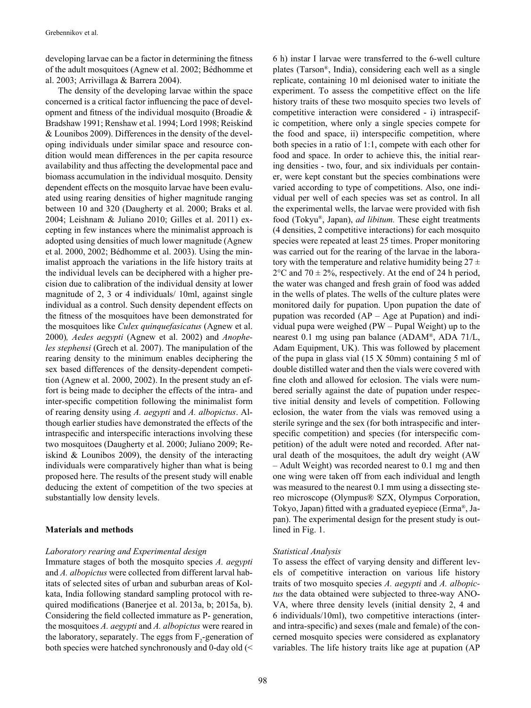developing larvae can be a factor in determining the fitness of the adult mosquitoes (Agnew et al. 2002; Bédhomme et al. 2003; Arrivillaga & Barrera 2004).

The density of the developing larvae within the space concerned is a critical factor influencing the pace of development and fitness of the individual mosquito (Broadie & Bradshaw 1991; Renshaw et al. 1994; Lord 1998; Reiskind & Lounibos 2009). Differences in the density of the developing individuals under similar space and resource condition would mean differences in the per capita resource availability and thus affecting the developmental pace and biomass accumulation in the individual mosquito. Density dependent effects on the mosquito larvae have been evaluated using rearing densities of higher magnitude ranging between 10 and 320 (Daugherty et al. 2000; Braks et al. 2004; Leishnam & Juliano 2010; Gilles et al. 2011) excepting in few instances where the minimalist approach is adopted using densities of much lower magnitude (Agnew et al. 2000, 2002; Bédhomme et al. 2003). Using the minimalist approach the variations in the life history traits at the individual levels can be deciphered with a higher precision due to calibration of the individual density at lower magnitude of 2, 3 or 4 individuals/ 10ml, against single individual as a control. Such density dependent effects on the fitness of the mosquitoes have been demonstrated for the mosquitoes like *Culex quinquefasicatus* (Agnew et al. 2000)*, Aedes aegypti* (Agnew et al. 2002) and *Anopheles stephensi* (Grech et al. 2007). The manipulation of the rearing density to the minimum enables deciphering the sex based differences of the density-dependent competition (Agnew et al. 2000, 2002). In the present study an effort is being made to decipher the effects of the intra- and inter-specific competition following the minimalist form of rearing density using *A. aegypti* and *A. albopictus*. Although earlier studies have demonstrated the effects of the intraspecific and interspecific interactions involving these two mosquitoes (Daugherty et al. 2000; Juliano 2009; Reiskind & Lounibos 2009), the density of the interacting individuals were comparatively higher than what is being proposed here. The results of the present study will enable deducing the extent of competition of the two species at substantially low density levels.

# **Materials and methods**

#### *Laboratory rearing and Experimental design*

Immature stages of both the mosquito species *A. aegypti*  and *A. albopictus* were collected from different larval habitats of selected sites of urban and suburban areas of Kolkata, India following standard sampling protocol with required modifications (Banerjee et al. 2013a, b; 2015a, b). Considering the field collected immature as P- generation, the mosquitoes *A. aegypti* and *A. albopictus* were reared in the laboratory, separately. The eggs from  $F_2$ -generation of both species were hatched synchronously and 0-day old (<

6 h) instar I larvae were transferred to the 6-well culture plates (Tarson®, India), considering each well as a single replicate, containing 10 ml deionised water to initiate the experiment. To assess the competitive effect on the life history traits of these two mosquito species two levels of competitive interaction were considered - i) intraspecific competition, where only a single species compete for the food and space, ii) interspecific competition, where both species in a ratio of 1:1, compete with each other for food and space. In order to achieve this, the initial rearing densities - two, four, and six individuals per container, were kept constant but the species combinations were varied according to type of competitions. Also, one individual per well of each species was set as control. In all the experimental wells, the larvae were provided with fish food (Tokyu®, Japan), *ad libitum.* These eight treatments (4 densities, 2 competitive interactions) for each mosquito species were repeated at least 25 times. Proper monitoring was carried out for the rearing of the larvae in the laboratory with the temperature and relative humidity being  $27 \pm$  $2^{\circ}$ C and 70  $\pm$  2%, respectively. At the end of 24 h period, the water was changed and fresh grain of food was added in the wells of plates. The wells of the culture plates were monitored daily for pupation. Upon pupation the date of pupation was recorded (AP – Age at Pupation) and individual pupa were weighed (PW – Pupal Weight) up to the nearest 0.1 mg using pan balance (ADAM®, ADA 71/L, Adam Equipment, UK). This was followed by placement of the pupa in glass vial (15 X 50mm) containing 5 ml of double distilled water and then the vials were covered with fine cloth and allowed for eclosion. The vials were numbered serially against the date of pupation under respective initial density and levels of competition. Following eclosion, the water from the vials was removed using a sterile syringe and the sex (for both intraspecific and interspecific competition) and species (for interspecific competition) of the adult were noted and recorded. After natural death of the mosquitoes, the adult dry weight (AW – Adult Weight) was recorded nearest to 0.1 mg and then one wing were taken off from each individual and length was measured to the nearest 0.1 mm using a dissecting stereo microscope (Olympus® SZX, Olympus Corporation, Tokyo, Japan) fitted with a graduated eyepiece (Erma®, Japan). The experimental design for the present study is outlined in Fig. 1.

# *Statistical Analysis*

To assess the effect of varying density and different levels of competitive interaction on various life history traits of two mosquito species *A. aegypti* and *A. albopictus* the data obtained were subjected to three-way ANO-VA, where three density levels (initial density 2, 4 and 6 individuals/10ml), two competitive interactions (interand intra-specific) and sexes (male and female) of the concerned mosquito species were considered as explanatory variables. The life history traits like age at pupation (AP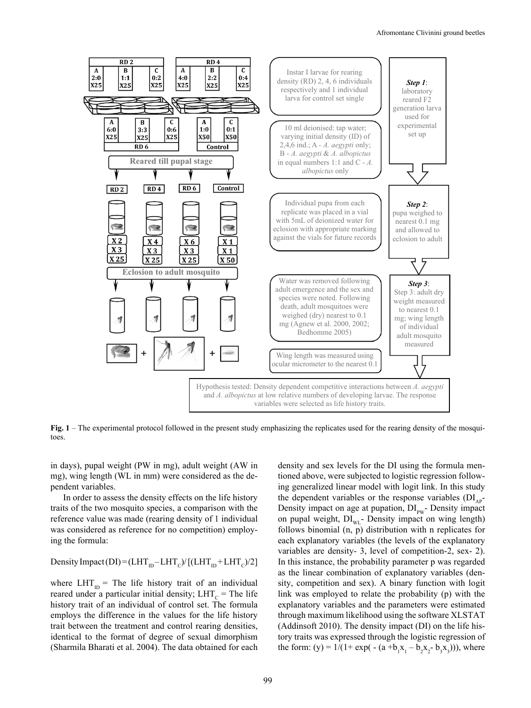

**Fig. 1** – The experimental protocol followed in the present study emphasizing the replicates used for the rearing density of the mosquitoes.

in days), pupal weight (PW in mg), adult weight (AW in mg), wing length (WL in mm) were considered as the dependent variables.

In order to assess the density effects on the life history traits of the two mosquito species, a comparison with the reference value was made (rearing density of 1 individual was considered as reference for no competition) employing the formula:

# Density Impact (DI) =  $(LHT_{ID} - LHT_{C})/[(LHT_{ID} + LHT_{C})/2]$

where  $LHT_{\text{in}}$  = The life history trait of an individual reared under a particular initial density;  $LHT_c = The life$ history trait of an individual of control set. The formula employs the difference in the values for the life history trait between the treatment and control rearing densities, identical to the format of degree of sexual dimorphism (Sharmila Bharati et al. 2004). The data obtained for each density and sex levels for the DI using the formula mentioned above, were subjected to logistic regression following generalized linear model with logit link. In this study the dependent variables or the response variables  $(DI_{AP} -$ Density impact on age at pupation,  $DI_{pw}$ - Density impact on pupal weight,  $DI_{WL}$ - Density impact on wing length) follows binomial (n, p) distribution with n replicates for each explanatory variables (the levels of the explanatory variables are density- 3, level of competition-2, sex- 2). In this instance, the probability parameter p was regarded as the linear combination of explanatory variables (density, competition and sex). A binary function with logit link was employed to relate the probability (p) with the explanatory variables and the parameters were estimated through maximum likelihood using the software XLSTAT (Addinsoft 2010). The density impact (DI) on the life history traits was expressed through the logistic regression of the form: (y) =  $1/(1 + \exp(-((a + b_1x_1 - b_2x_2 - b_3x_3))))$ , where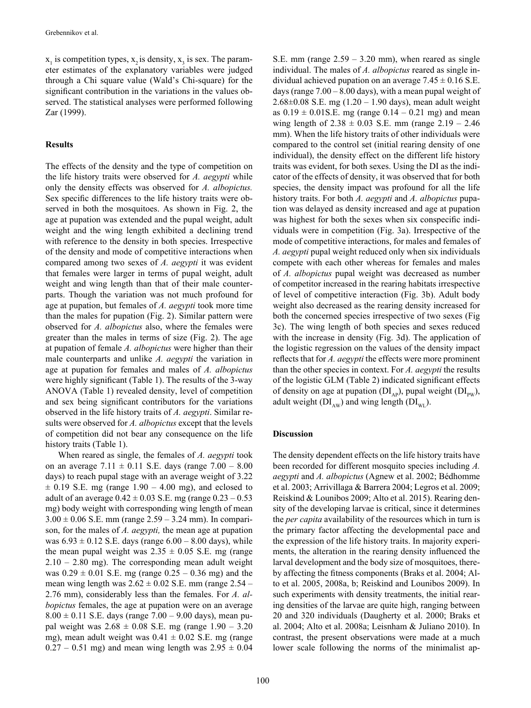$x_1$  is competition types,  $x_2$  is density,  $x_3$  is sex. The parameter estimates of the explanatory variables were judged through a Chi square value (Wald's Chi-square) for the significant contribution in the variations in the values observed. The statistical analyses were performed following Zar (1999).

# **Results**

The effects of the density and the type of competition on the life history traits were observed for *A. aegypti* while only the density effects was observed for *A. albopictus.*  Sex specific differences to the life history traits were observed in both the mosquitoes. As shown in Fig. 2, the age at pupation was extended and the pupal weight, adult weight and the wing length exhibited a declining trend with reference to the density in both species. Irrespective of the density and mode of competitive interactions when compared among two sexes of *A. aegypti* it was evident that females were larger in terms of pupal weight, adult weight and wing length than that of their male counterparts. Though the variation was not much profound for age at pupation, but females of *A. aegypti* took more time than the males for pupation (Fig. 2). Similar pattern were observed for *A. albopictus* also, where the females were greater than the males in terms of size (Fig. 2). The age at pupation of female *A. albopictus* were higher than their male counterparts and unlike *A. aegypti* the variation in age at pupation for females and males of *A. albopictus*  were highly significant (Table 1). The results of the 3-way ANOVA (Table 1) revealed density, level of competition and sex being significant contributors for the variations observed in the life history traits of *A. aegypti*. Similar results were observed for *A. albopictus* except that the levels of competition did not bear any consequence on the life history traits (Table 1).

When reared as single, the females of *A. aegypti* took on an average  $7.11 \pm 0.11$  S.E. days (range  $7.00 - 8.00$ days) to reach pupal stage with an average weight of 3.22  $\pm$  0.19 S.E. mg (range 1.90 – 4.00 mg), and eclosed to adult of an average  $0.42 \pm 0.03$  S.E. mg (range  $0.23 - 0.53$ ) mg) body weight with corresponding wing length of mean  $3.00 \pm 0.06$  S.E. mm (range  $2.59 - 3.24$  mm). In comparison, for the males of *A. aegypti,* the mean age at pupation was  $6.93 \pm 0.12$  S.E. days (range  $6.00 - 8.00$  days), while the mean pupal weight was  $2.35 \pm 0.05$  S.E. mg (range  $2.10 - 2.80$  mg). The corresponding mean adult weight was  $0.29 \pm 0.01$  S.E. mg (range  $0.25 - 0.36$  mg) and the mean wing length was  $2.62 \pm 0.02$  S.E. mm (range  $2.54$  – 2.76 mm), considerably less than the females. For *A. albopictus* females, the age at pupation were on an average  $8.00 \pm 0.11$  S.E. days (range 7.00 – 9.00 days), mean pupal weight was  $2.68 \pm 0.08$  S.E. mg (range  $1.90 - 3.20$ mg), mean adult weight was  $0.41 \pm 0.02$  S.E. mg (range  $0.27 - 0.51$  mg) and mean wing length was  $2.95 \pm 0.04$  S.E. mm (range  $2.59 - 3.20$  mm), when reared as single individual. The males of *A. albopictus* reared as single individual achieved pupation on an average  $7.45 \pm 0.16$  S.E. days (range  $7.00 - 8.00$  days), with a mean pupal weight of 2.68 $\pm$ 0.08 S.E. mg (1.20 – 1.90 days), mean adult weight as  $0.19 \pm 0.01$  S.E. mg (range  $0.14 - 0.21$  mg) and mean wing length of  $2.38 \pm 0.03$  S.E. mm (range  $2.19 - 2.46$ ) mm). When the life history traits of other individuals were compared to the control set (initial rearing density of one individual), the density effect on the different life history traits was evident, for both sexes. Using the DI as the indicator of the effects of density, it was observed that for both species, the density impact was profound for all the life history traits. For both *A. aegypti* and *A. albopictus* pupation was delayed as density increased and age at pupation was highest for both the sexes when six conspecific individuals were in competition (Fig. 3a). Irrespective of the mode of competitive interactions, for males and females of *A. aegypti* pupal weight reduced only when six individuals compete with each other whereas for females and males of *A. albopictus* pupal weight was decreased as number of competitor increased in the rearing habitats irrespective of level of competitive interaction (Fig. 3b). Adult body weight also decreased as the rearing density increased for both the concerned species irrespective of two sexes (Fig 3c). The wing length of both species and sexes reduced with the increase in density (Fig. 3d). The application of the logistic regression on the values of the density impact reflects that for *A. aegypti* the effects were more prominent than the other species in context. For *A. aegypti* the results of the logistic GLM (Table 2) indicated significant effects of density on age at pupation  $(DI_{AP})$ , pupal weight  $(DI_{PW})$ , adult weight ( $DI_{\text{AW}}$ ) and wing length ( $DI_{\text{WL}}$ ).

#### **Discussion**

The density dependent effects on the life history traits have been recorded for different mosquito species including *A. aegypti* and *A. albopictus* (Agnew et al. 2002; Bédhomme et al. 2003; Arrivillaga & Barrera 2004; Legros et al. 2009; Reiskind & Lounibos 2009; Alto et al. 2015). Rearing density of the developing larvae is critical, since it determines the *per capita* availability of the resources which in turn is the primary factor affecting the developmental pace and the expression of the life history traits. In majority experiments, the alteration in the rearing density influenced the larval development and the body size of mosquitoes, thereby affecting the fitness components (Braks et al. 2004; Alto et al. 2005, 2008a, b; Reiskind and Lounibos 2009). In such experiments with density treatments, the initial rearing densities of the larvae are quite high, ranging between 20 and 320 individuals (Daugherty et al. 2000; Braks et al. 2004; Alto et al. 2008a; Leisnham & Juliano 2010). In contrast, the present observations were made at a much lower scale following the norms of the minimalist ap-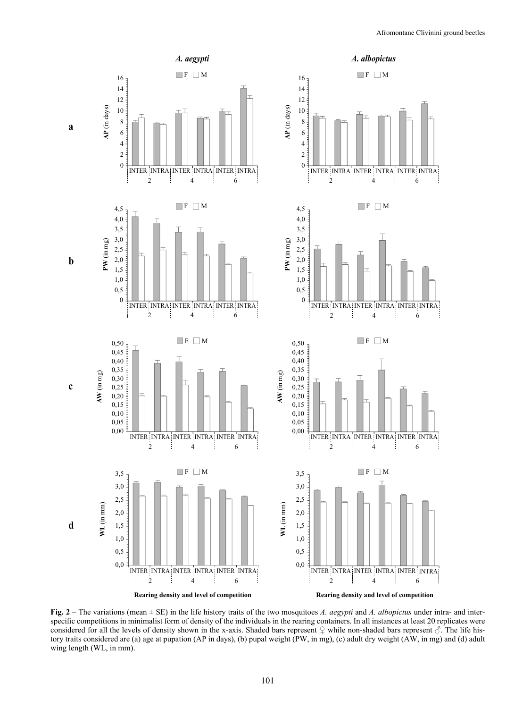

**Fig. 2** – The variations (mean ± SE) in the life history traits of the two mosquitoes *A. aegypti* and *A. albopictus* under intra- and interspecific competitions in minimalist form of density of the individuals in the rearing containers. In all instances at least 20 replicates were considered for all the levels of density shown in the x-axis. Shaded bars represent  $\varphi$  while non-shaded bars represent  $\varphi$ . The life history traits considered are (a) age at pupation (AP in days), (b) pupal weight (PW, in mg), (c) adult dry weight (AW, in mg) and (d) adult wing length (WL, in mm).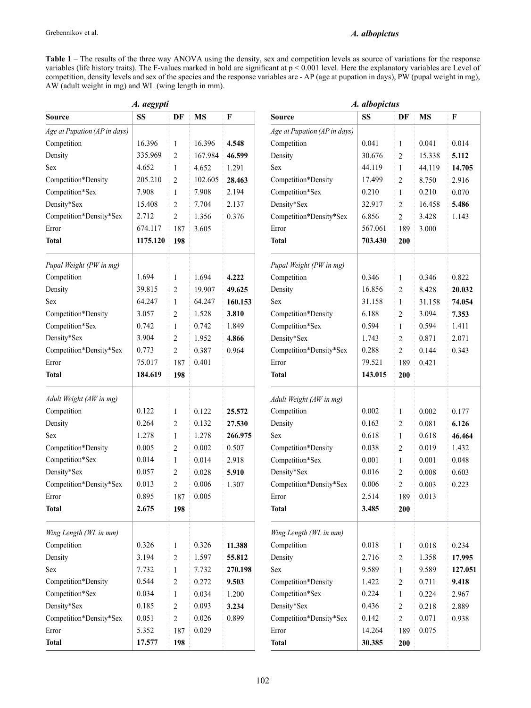# *A. albopictus*

**Table 1** – The results of the three way ANOVA using the density, sex and competition levels as source of variations for the response variables (life history traits). The F-values marked in bold are significant at p < 0.001 level. Here the explanatory variables are Level of competition, density levels and sex of the species and the response variables are - AP (age at pupation in days), PW (pupal weight in mg), AW (adult weight in mg) and WL (wing length in mm).

| A. aegypti                   |          |                  |           |                              | A. albopictus                |         |                |           |         |  |
|------------------------------|----------|------------------|-----------|------------------------------|------------------------------|---------|----------------|-----------|---------|--|
| <b>Source</b>                | SS       | DF               | <b>MS</b> | ${\bf F}$                    | Source                       | SS      | DF             | <b>MS</b> | F       |  |
| Age at Pupation (AP in days) |          |                  |           |                              | Age at Pupation (AP in days) |         |                |           |         |  |
| Competition                  | 16.396   | $\mathbf{1}$     | 16.396    | Competition<br>4.548         |                              | 0.041   | $\mathbf{1}$   | 0.041     | 0.014   |  |
| Density                      | 335.969  | $\overline{c}$   | 167.984   | 46.599                       | Density<br>30.676            |         | $\overline{c}$ | 15.338    | 5.112   |  |
| <b>Sex</b>                   | 4.652    | $\mathbf{1}$     | 4.652     | 1.291                        | Sex                          | 44.119  | $\mathbf{1}$   | 44.119    | 14.705  |  |
| Competition*Density          | 205.210  | $\overline{2}$   | 102.605   | 28.463                       | Competition*Density          | 17.499  | $\overline{2}$ | 8.750     | 2.916   |  |
| Competition*Sex              | 7.908    | $\mathbf{1}$     | 7.908     | 2.194                        | Competition*Sex              | 0.210   | $\mathbf{1}$   | 0.210     | 0.070   |  |
| Density*Sex                  | 15.408   | $\overline{2}$   | 7.704     | 2.137                        | Density*Sex                  | 32.917  | $\overline{c}$ | 16.458    | 5.486   |  |
| Competition*Density*Sex      | 2.712    | $\overline{2}$   | 1.356     | 0.376                        | Competition*Density*Sex      | 6.856   | $\overline{c}$ | 3.428     | 1.143   |  |
| Error                        | 674.117  | 187              | 3.605     |                              | Error                        | 567.061 | 189            | 3.000     |         |  |
| <b>Total</b>                 | 1175.120 | 198              |           |                              | <b>Total</b>                 | 703.430 | 200            |           |         |  |
| Pupal Weight (PW in mg)      |          |                  |           |                              | Pupal Weight (PW in mg)      |         |                |           |         |  |
| Competition                  | 1.694    | 1                | 1.694     | 4.222                        | Competition                  | 0.346   | $\mathbf{1}$   | 0.346     | 0.822   |  |
| Density                      | 39.815   | $\overline{2}$   | 19.907    | 49.625                       | Density                      | 16.856  | $\overline{2}$ | 8.428     | 20.032  |  |
| <b>Sex</b>                   | 64.247   | $\mathbf{1}$     | 64.247    | 160.153                      | Sex                          | 31.158  | $\mathbf{1}$   | 31.158    | 74.054  |  |
| Competition*Density          | 3.057    | 2                | 1.528     | 3.810                        | Competition*Density          | 6.188   | $\overline{c}$ | 3.094     | 7.353   |  |
| Competition*Sex              | 0.742    | 1                | 0.742     | 1.849                        | Competition*Sex              | 0.594   | $\mathbf{1}$   | 0.594     | 1.411   |  |
| Density*Sex                  | 3.904    | $\overline{2}$   | 1.952     | 4.866                        | Density*Sex                  | 1.743   | $\overline{2}$ | 0.871     | 2.071   |  |
| Competition*Density*Sex      | 0.773    | $\overline{2}$   | 0.387     | 0.964                        | Competition*Density*Sex      | 0.288   | $\overline{2}$ | 0.144     | 0.343   |  |
| Error                        | 75.017   | 187              | 0.401     |                              | Error                        | 79.521  | 189            | 0.421     |         |  |
| <b>Total</b>                 | 184.619  | 198              |           |                              | <b>Total</b>                 | 143.015 | 200            |           |         |  |
| Adult Weight (AW in mg)      |          |                  |           |                              | Adult Weight (AW in mg)      |         |                |           |         |  |
| Competition                  | 0.122    | 1                | 0.122     | 25.572                       | Competition                  | 0.002   | $\mathbf{1}$   | 0.002     | 0.177   |  |
| Density                      | 0.264    | 2                | 0.132     | 27.530                       | Density                      |         | $\overline{2}$ | 0.081     | 6.126   |  |
| <b>Sex</b>                   | 1.278    | $\mathbf{1}$     | 1.278     | 266.975                      | Sex                          | 0.618   | $\mathbf{1}$   | 0.618     | 46.464  |  |
| Competition*Density          | 0.005    | $\overline{c}$   | 0.002     | 0.507                        | Competition*Density          | 0.038   | $\overline{c}$ | 0.019     | 1.432   |  |
| Competition*Sex              | 0.014    | $\mathbf{1}$     | 0.014     | 2.918                        | Competition*Sex              | 0.001   | $\mathbf{1}$   | 0.001     | 0.048   |  |
| Density*Sex                  | 0.057    | $\overline{2}$   | 0.028     | 5.910                        | Density*Sex                  | 0.016   | 2              | 0.008     | 0.603   |  |
| Competition*Density*Sex      | 0.013    | $\overline{2}$   | 0.006     | 1.307                        | Competition*Density*Sex      | 0.006   | $\overline{2}$ | 0.003     | 0.223   |  |
| Error                        | 0.895    | 187              | 0.005     |                              | Error                        | 2.514   | 189            | 0.013     |         |  |
| <b>Total</b>                 | 2.675    | 198              |           |                              | <b>Total</b>                 | 3.485   | 200            |           |         |  |
| Wing Length (WL in mm)       |          |                  |           |                              | Wing Length (WL in mm)       |         |                |           |         |  |
| Competition                  | 0.326    | $\mathbf{1}$     | 0.326     | 11.388                       | Competition                  | 0.018   | $\mathbf{1}$   | 0.018     | 0.234   |  |
| Density                      | 3.194    | $\overline{c}$   | 1.597     | 55.812<br>Density            |                              | 2.716   | $\sqrt{2}$     | 1.358     | 17.995  |  |
| Sex                          | 7.732    | $\mathbf{1}$     | 7.732     | Sex<br>270.198               |                              | 9.589   | $\mathbf{1}$   | 9.589     | 127.051 |  |
| Competition*Density          | 0.544    | $\boldsymbol{2}$ | 0.272     | 9.503<br>Competition*Density |                              | 1.422   | $\overline{c}$ | 0.711     | 9.418   |  |
| Competition*Sex              | 0.034    | $\mathbf{1}$     | 0.034     | 1.200<br>Competition*Sex     |                              | 0.224   | $\mathbf{1}$   | 0.224     | 2.967   |  |
| Density*Sex                  | 0.185    | $\overline{2}$   | 0.093     | 3.234                        | Density*Sex                  | 0.436   | $\overline{2}$ | 0.218     | 2.889   |  |
| Competition*Density*Sex      | 0.051    | $\overline{c}$   | 0.026     | 0.899                        | Competition*Density*Sex      | 0.142   | $\sqrt{2}$     | 0.071     | 0.938   |  |
| Error                        | 5.352    | 187              | 0.029     |                              | $\ensuremath{\text{Error}}$  | 14.264  | 189            | 0.075     |         |  |
| <b>Total</b>                 | 17.577   | 198              |           |                              | <b>Total</b>                 | 30.385  | 200            |           |         |  |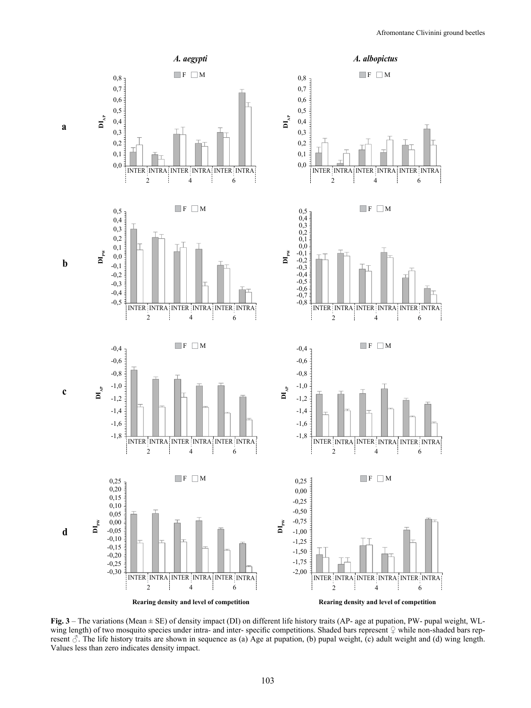

**Fig. 3** – The variations (Mean ± SE) of density impact (DI) on different life history traits (AP- age at pupation, PW- pupal weight, WLwing length) of two mosquito species under intra- and inter-specific competitions. Shaded bars represent  $\mathcal{Q}$  while non-shaded bars represent  $\delta$ . The life history traits are shown in sequence as (a) Age at pupation, (b) pupal weight, (c) adult weight and (d) wing length. Values less than zero indicates density impact.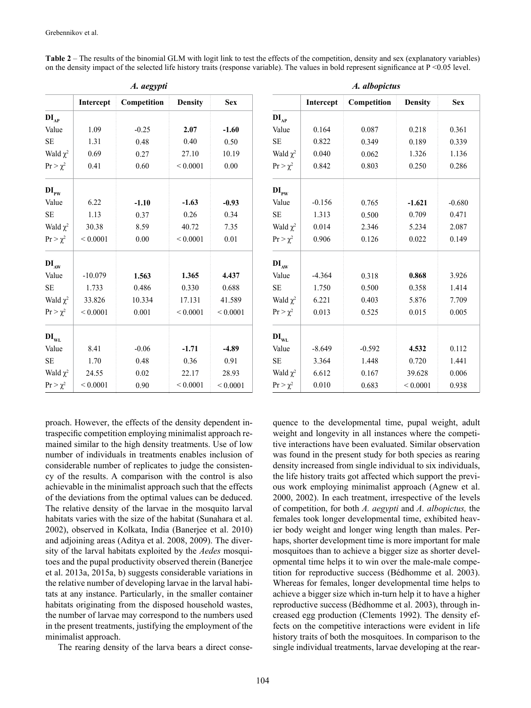|               |                          | A. aegypti |                |               | A. albopictus |           |             |  |
|---------------|--------------------------|------------|----------------|---------------|---------------|-----------|-------------|--|
|               | Intercept<br>Competition |            | <b>Density</b> | <b>Sex</b>    |               | Intercept | Competition |  |
| $DI_{AP}$     |                          |            |                |               | $DI_{AP}$     |           |             |  |
| Value         | 1.09                     | $-0.25$    | 2.07           | $-1.60$       | Value         | 0.164     | 0.087       |  |
| <b>SE</b>     | 1.31                     | 0.48       | 0.40           | 0.50          | $\rm SE$      | 0.822     | 0.349       |  |
| Wald $\chi^2$ | 0.69                     | 0.27       | 27.10          | 10.19         | Wald $\chi^2$ | 0.040     | 0.062       |  |
| $Pr > \chi^2$ | 0.41                     | 0.60       | ${}< 0.0001$   | $0.00\,$      | $Pr > \chi^2$ | 0.842     | 0.803       |  |
| $DI_{PW}$     |                          |            |                |               | $DI_{PW}$     |           |             |  |
| Value         | 6.22                     | $-1.10$    | $-1.63$        | $-0.93$       | Value         | $-0.156$  | 0.765       |  |
| <b>SE</b>     | 1.13                     | 0.37       | 0.26           | 0.34          | $\rm SE$      | 1.313     | 0.500       |  |
| Wald $\chi^2$ | 30.38                    | 8.59       | 40.72          | 7.35          | Wald $\chi^2$ | 0.014     | 2.346       |  |
| $Pr > \chi^2$ | ${}< 0.0001$             | 0.00       | ${}< 0.0001$   | 0.01          | $Pr > \chi^2$ | 0.906     | 0.126       |  |
| $DI_{AW}$     |                          |            |                |               | $DI_{AW}$     |           |             |  |
| Value         | $-10.079$                | 1.563      | 1.365          | 4.437         | Value         | $-4.364$  | 0.318       |  |
| $\rm SE$      | 1.733                    | 0.486      | 0.330          | 0.688         | $\rm SE$      | 1.750     | 0.500       |  |
| Wald $\chi^2$ | 33.826                   | 10.334     | 17.131         | 41.589        | Wald $\chi^2$ | 6.221     | 0.403       |  |
| $Pr > \chi^2$ | ${}< 0.0001$             | 0.001      | ${}< 0.0001$   | ${}_{0.0001}$ | $Pr > \chi^2$ | 0.013     | 0.525       |  |
| $DI_{WL}$     |                          |            |                |               | $DI_{WL}$     |           |             |  |
| Value         | 8.41                     | $-0.06$    | $-1.71$        | $-4.89$       | Value         | $-8.649$  | $-0.592$    |  |
| <b>SE</b>     | 1.70                     | 0.48       | 0.36           | 0.91          | <b>SE</b>     | 3.364     | 1.448       |  |
| Wald $\chi^2$ | 24.55                    | 0.02       | 22.17          | 28.93         | Wald $\chi^2$ | 6.612     | 0.167       |  |
| $Pr > \chi^2$ | ${}< 0.0001$             | 0.90       | ${}< 0.0001$   | ${}< 0.0001$  | $Pr > \chi^2$ | 0.010     | 0.683       |  |

**Table 2** – The results of the binomial GLM with logit link to test the effects of the competition, density and sex (explanatory variables) on the density impact of the selected life history traits (response variable). The values in bold represent significance at  $P \le 0.05$  level.

| $\cdots$ $\sigma$ |             |                |               |                             |           |             |                |            |  |  |
|-------------------|-------------|----------------|---------------|-----------------------------|-----------|-------------|----------------|------------|--|--|
| Intercept         | Competition | <b>Density</b> | <b>Sex</b>    |                             | Intercept | Competition | <b>Density</b> | <b>Sex</b> |  |  |
|                   |             |                |               | $DI_{AP}$                   |           |             |                |            |  |  |
| 1.09              | $-0.25$     | 2.07           | $-1.60$       | Value                       | 0.164     | 0.087       | 0.218          | 0.361      |  |  |
| 1.31              | 0.48        | 0.40           | 0.50          | <b>SE</b>                   | 0.822     | 0.349       | 0.189          | 0.339      |  |  |
| 0.69              | 0.27        | 27.10          | 10.19         | Wald $\chi^2$               | 0.040     | 0.062       | 1.326          | 1.136      |  |  |
| 0.41              | 0.60        | ${}_{0.0001}$  | 0.00          | $Pr > \chi^2$               | 0.842     | 0.803       | 0.250          | 0.286      |  |  |
|                   |             |                |               | $DI_{PW}$                   |           |             |                |            |  |  |
| 6.22              | $-1.10$     | $-1.63$        | $-0.93$       | Value                       | $-0.156$  | 0.765       | $-1.621$       | $-0.680$   |  |  |
| 1.13              | 0.37        | 0.26           | 0.34          | $\rm SE$                    | 1.313     | 0.500       | 0.709          | 0.471      |  |  |
| 30.38             | 8.59        | 40.72          | 7.35          | Wald $\chi^2$               | 0.014     | 2.346       | 5.234          | 2.087      |  |  |
| ${}< 0.0001$      | 0.00        | ${}< 0.0001$   | $0.01\,$      | $Pr > \chi^2$               | 0.906     | 0.126       | 0.022          | 0.149      |  |  |
|                   |             |                |               | DI <sub>AW</sub>            |           |             |                |            |  |  |
| $-10.079$         | 1.563       | 1.365          | 4.437         | Value                       | $-4.364$  | 0.318       | 0.868          | 3.926      |  |  |
| 1.733             | 0.486       | 0.330          | 0.688         | <b>SE</b>                   | 1.750     | 0.500       | 0.358          | 1.414      |  |  |
| 33.826            | 10.334      | 17.131         | 41.589        | Wald $\chi^2$               | 6.221     | 0.403       | 5.876          | 7.709      |  |  |
| ${}_{0.0001}$     | 0.001       | ${}_{0.0001}$  | ${}< 0.0001$  | $Pr > \chi^2$               | 0.013     | 0.525       | 0.015          | 0.005      |  |  |
|                   |             |                |               | $\mathbf{DI}_{\textrm{WL}}$ |           |             |                |            |  |  |
| 8.41              | $-0.06$     | $-1.71$        | $-4.89$       | Value                       | $-8.649$  | $-0.592$    | 4.532          | 0.112      |  |  |
| 1.70              | 0.48        | 0.36           | 0.91          | <b>SE</b>                   | 3.364     | 1.448       | 0.720          | 1.441      |  |  |
| 24.55             | 0.02        | 22.17          | 28.93         | Wald $\chi^2$               | 6.612     | 0.167       | 39.628         | 0.006      |  |  |
| ${}< 0.0001$      | 0.90        | ${}_{0.0001}$  | ${}_{0.0001}$ | $Pr > \chi^2$               | 0.010     | 0.683       | ${}< 0.0001$   | 0.938      |  |  |

proach. However, the effects of the density dependent intraspecific competition employing minimalist approach remained similar to the high density treatments. Use of low number of individuals in treatments enables inclusion of considerable number of replicates to judge the consistency of the results. A comparison with the control is also achievable in the minimalist approach such that the effects of the deviations from the optimal values can be deduced. The relative density of the larvae in the mosquito larval habitats varies with the size of the habitat (Sunahara et al. 2002), observed in Kolkata, India (Banerjee et al. 2010) and adjoining areas (Aditya et al. 2008, 2009). The diversity of the larval habitats exploited by the *Aedes* mosquitoes and the pupal productivity observed therein (Banerjee et al. 2013a, 2015a, b) suggests considerable variations in the relative number of developing larvae in the larval habitats at any instance. Particularly, in the smaller container habitats originating from the disposed household wastes, the number of larvae may correspond to the numbers used in the present treatments, justifying the employment of the minimalist approach.

The rearing density of the larva bears a direct conse-

quence to the developmental time, pupal weight, adult weight and longevity in all instances where the competitive interactions have been evaluated. Similar observation was found in the present study for both species as rearing density increased from single individual to six individuals, the life history traits got affected which support the previous work employing minimalist approach (Agnew et al. 2000, 2002). In each treatment, irrespective of the levels of competition, for both *A. aegypti* and *A. albopictus,* the females took longer developmental time, exhibited heavier body weight and longer wing length than males. Perhaps, shorter development time is more important for male mosquitoes than to achieve a bigger size as shorter developmental time helps it to win over the male-male competition for reproductive success (Bédhomme et al. 2003). Whereas for females, longer developmental time helps to achieve a bigger size which in-turn help it to have a higher reproductive success (Bédhomme et al. 2003), through increased egg production (Clements 1992). The density effects on the competitive interactions were evident in life history traits of both the mosquitoes. In comparison to the single individual treatments, larvae developing at the rear-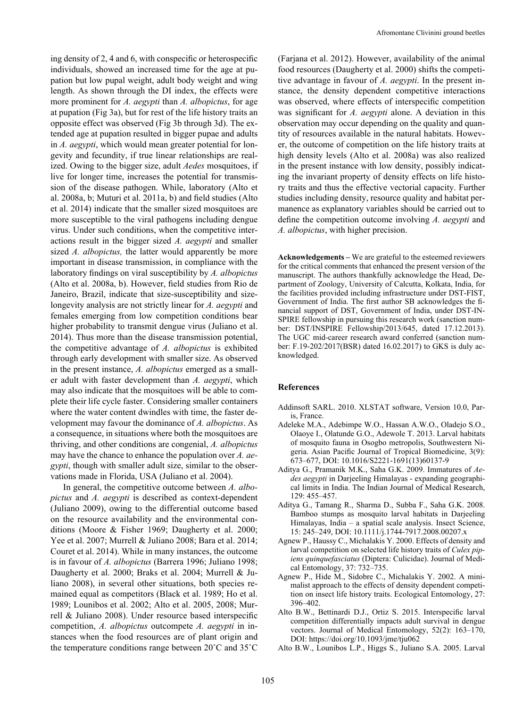ing density of 2, 4 and 6, with conspecific or heterospecific individuals, showed an increased time for the age at pupation but low pupal weight, adult body weight and wing length. As shown through the DI index, the effects were more prominent for *A. aegypti* than *A. albopictus*, for age at pupation (Fig 3a), but for rest of the life history traits an opposite effect was observed (Fig 3b through 3d). The extended age at pupation resulted in bigger pupae and adults in *A. aegypti*, which would mean greater potential for longevity and fecundity, if true linear relationships are realized. Owing to the bigger size, adult *Aedes* mosquitoes, if live for longer time, increases the potential for transmission of the disease pathogen. While, laboratory (Alto et al. 2008a, b; Muturi et al. 2011a, b) and field studies (Alto et al. 2014) indicate that the smaller sized mosquitoes are more susceptible to the viral pathogens including dengue virus. Under such conditions, when the competitive interactions result in the bigger sized *A. aegypti* and smaller sized *A. albopictus,* the latter would apparently be more important in disease transmission, in compliance with the laboratory findings on viral susceptibility by *A. albopictus*  (Alto et al. 2008a, b). However, field studies from Rio de Janeiro, Brazil, indicate that size-susceptibility and sizelongevity analysis are not strictly linear for *A. aegypti* and females emerging from low competition conditions bear higher probability to transmit dengue virus (Juliano et al. 2014). Thus more than the disease transmission potential, the competitive advantage of *A. albopictus* is exhibited through early development with smaller size. As observed in the present instance, *A. albopictus* emerged as a smaller adult with faster development than *A. aegypti*, which may also indicate that the mosquitoes will be able to complete their life cycle faster. Considering smaller containers where the water content dwindles with time, the faster development may favour the dominance of *A. albopictus*. As a consequence, in situations where both the mosquitoes are thriving, and other conditions are congenial, *A. albopictus* may have the chance to enhance the population over *A. aegypti*, though with smaller adult size, similar to the observations made in Florida, USA (Juliano et al. 2004).

In general, the competitive outcome between *A. albopictus* and *A. aegypti* is described as context-dependent (Juliano 2009), owing to the differential outcome based on the resource availability and the environmental conditions (Moore & Fisher 1969; Daugherty et al. 2000; Yee et al. 2007; Murrell & Juliano 2008; Bara et al. 2014; Couret et al. 2014). While in many instances, the outcome is in favour of *A. albopictus* (Barrera 1996; Juliano 1998; Daugherty et al. 2000; Braks et al. 2004; Murrell & Juliano 2008), in several other situations, both species remained equal as competitors (Black et al. 1989; Ho et al. 1989; Lounibos et al. 2002; Alto et al. 2005, 2008; Murrell & Juliano 2008). Under resource based interspecific competition, *A. albopictus* outcompete *A. aegypti* in instances when the food resources are of plant origin and the temperature conditions range between 20˚C and 35˚C (Farjana et al. 2012). However, availability of the animal food resources (Daugherty et al. 2000) shifts the competitive advantage in favour of *A. aegypti*. In the present instance, the density dependent competitive interactions was observed, where effects of interspecific competition was significant for *A. aegypti* alone. A deviation in this observation may occur depending on the quality and quantity of resources available in the natural habitats. However, the outcome of competition on the life history traits at high density levels (Alto et al. 2008a) was also realized in the present instance with low density, possibly indicating the invariant property of density effects on life history traits and thus the effective vectorial capacity. Further studies including density, resource quality and habitat permanence as explanatory variables should be carried out to define the competition outcome involving *A. aegypti* and *A. albopictus*, with higher precision.

**Acknowledgements –** We are grateful to the esteemed reviewers for the critical comments that enhanced the present version of the manuscript. The authors thankfully acknowledge the Head, Department of Zoology, University of Calcutta, Kolkata, India, for the facilities provided including infrastructure under DST-FIST, Government of India. The first author SB acknowledges the financial support of DST, Government of India, under DST-IN-SPIRE fellowship in pursuing this research work (sanction number: DST/INSPIRE Fellowship/2013/645, dated 17.12.2013). The UGC mid-career research award conferred (sanction number: F.19-202/2017(BSR) dated 16.02.2017) to GKS is duly acknowledged.

### **References**

- Addinsoft SARL. 2010. XLSTAT software, Version 10.0, Paris, France.
- Adeleke M.A., Adebimpe W.O., Hassan A.W.O., Oladejo S.O., Olaoye I., Olatunde G.O., Adewole T. 2013. Larval habitats of mosquito fauna in Osogbo metropolis, Southwestern Nigeria. Asian Pacific Journal of Tropical Biomedicine, 3(9): 673–677, DOI: 10.1016/S2221-1691(13)60137-9
- Aditya G., Pramanik M.K., Saha G.K. 2009. Immatures of *Aedes aegypti* in Darjeeling Himalayas - expanding geographical limits in India. The Indian Journal of Medical Research, 129: 455–457.
- Aditya G., Tamang R., Sharma D., Subba F., Saha G.K. 2008. Bamboo stumps as mosquito larval habitats in Darjeeling Himalayas, India – a spatial scale analysis. Insect Science, 15: 245–249, DOI: 10.1111/j.1744-7917.2008.00207.x
- Agnew P., Haussy C., Michalakis Y. 2000. Effects of density and larval competition on selected life history traits of *Culex pipiens quinquefasciatus* (Diptera: Culicidae). Journal of Medical Entomology, 37: 732–735.
- Agnew P., Hide M., Sidobre C., Michalakis Y. 2002. A minimalist approach to the effects of density dependent competition on insect life history traits. Ecological Entomology, 27: 396–402.
- Alto B.W., Bettinardi D.J., Ortiz S. 2015. Interspecific larval competition differentially impacts adult survival in dengue vectors. Journal of Medical Entomology, 52(2): 163–170, DOI: https://doi.org/10.1093/jme/tju062
- Alto B.W., Lounibos L.P., Higgs S., Juliano S.A. 2005. Larval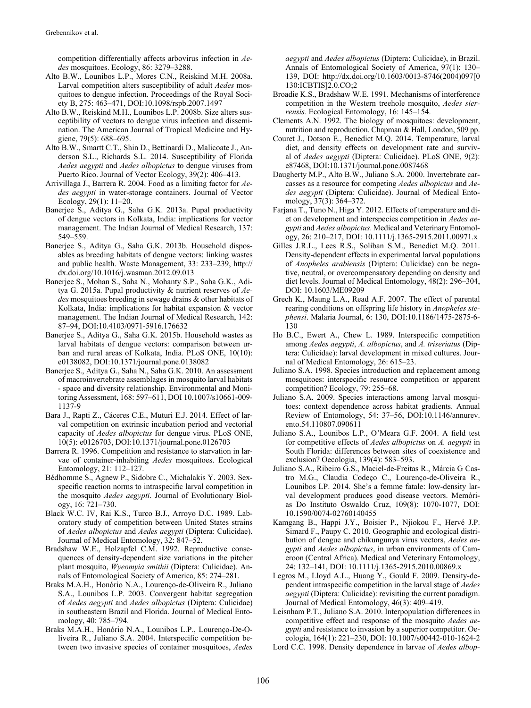competition differentially affects arbovirus infection in *Aedes* mosquitoes. Ecology, 86: 3279–3288.

- Alto B.W., Lounibos L.P., Mores C.N., Reiskind M.H. 2008a. Larval competition alters susceptibility of adult *Aedes* mosquitoes to dengue infection. Proceedings of the Royal Society B, 275: 463–471, DOI:10.1098/rspb.2007.1497
- Alto B.W., Reiskind M.H., Lounibos L.P. 2008b. Size alters susceptibility of vectors to dengue virus infection and dissemination. The American Journal of Tropical Medicine and Hygiene, 79(5): 688–695.
- Alto B.W., Smartt C.T., Shin D., Bettinardi D., Malicoate J., Anderson S.L., Richards S.L. 2014. Susceptibility of Florida *Aedes aegypti* and *Aedes albopictus* to dengue viruses from Puerto Rico. Journal of Vector Ecology, 39(2): 406–413.
- Arrivillaga J., Barrera R. 2004. Food as a limiting factor for *Aedes aegypti* in water-storage containers. Journal of Vector Ecology, 29(1): 11–20.
- Banerjee S., Aditya G., Saha G.K. 2013a. Pupal productivity of dengue vectors in Kolkata, India: implications for vector management. The Indian Journal of Medical Research, 137: 549–559.
- Banerjee S., Aditya G., Saha G.K. 2013b. Household disposables as breeding habitats of dengue vectors: linking wastes and public health. Waste Management, 33: 233–239, http:// dx.doi.org/10.1016/j.wasman.2012.09.013
- Banerjee S., Mohan S., Saha N., Mohanty S.P., Saha G.K., Aditya G. 2015a. Pupal productivity & nutrient reserves of *Aedes* mosquitoes breeding in sewage drains & other habitats of Kolkata, India: implications for habitat expansion & vector management. The Indian Journal of Medical Research, 142: 87–94, DOI:10.4103/0971-5916.176632
- Banerjee S., Aditya G., Saha G.K. 2015b. Household wastes as larval habitats of dengue vectors: comparison between urban and rural areas of Kolkata, India. PLoS ONE, 10(10): e0138082, DOI:10.1371/journal.pone.0138082
- Banerjee S., Aditya G., Saha N., Saha G.K. 2010. An assessment of macroinvertebrate assemblages in mosquito larval habitats - space and diversity relationship. Environmental and Monitoring Assessment, 168: 597–611, DOI 10.1007/s10661-009- 1137-9
- Bara J., Rapti Z., Cáceres C.E., Muturi E.J. 2014. Effect of larval competition on extrinsic incubation period and vectorial capacity of *Aedes albopictus* for dengue virus. PLoS ONE, 10(5): e0126703, DOI:10.1371/journal.pone.0126703
- Barrera R. 1996. Competition and resistance to starvation in larvae of container-inhabiting *Aedes* mosquitoes. Ecological Entomology, 21: 112–127.
- Bédhomme S., Agnew P., Sidobre C., Michalakis Y. 2003. Sexspecific reaction norms to intraspecific larval competition in the mosquito *Aedes aegypti*. Journal of Evolutionary Biology, 16: 721–730.
- Black W.C. IV, Rai K.S., Turco B.J., Arroyo D.C. 1989. Laboratory study of competition between United States strains of *Aedes albopictus* and *Aedes aegypti* (Diptera: Culicidae). Journal of Medical Entomology, 32: 847–52.
- Bradshaw W.E., Holzapfel C.M. 1992. Reproductive consequences of density-dependent size variations in the pitcher plant mosquito, *Wyeomyia smithii* (Diptera: Culicidae). Annals of Entomological Society of America, 85: 274–281.
- Braks M.A.H., Honório N.A., Lourenço-de-Oliveira R., Juliano S.A., Lounibos L.P. 2003. Convergent habitat segregation of *Aedes aegypti* and *Aedes albopictus* (Diptera: Culicidae) in southeastern Brazil and Florida. Journal of Medical Entomology, 40: 785–794.
- Braks M.A.H., Honório N.A., Lounibos L.P., Lourenço-De-Oliveira R., Juliano S.A. 2004. Interspecific competition between two invasive species of container mosquitoes, *Aedes*

*aegypti* and *Aedes albopictus* (Diptera: Culicidae), in Brazil. Annals of Entomological Society of America, 97(1): 130– 139, DOI: http://dx.doi.org/10.1603/0013-8746(2004)097[0 130:ICBTIS]2.0.CO;2

- Broadie K.S., Bradshaw W.E. 1991. Mechanisms of interference competition in the Western treehole mosquito, *Aedes sierrensis.* Ecological Entomology, 16: 145–154.
- Clements A.N. 1992. The biology of mosquitoes: development, nutrition and reproduction. Chapman & Hall, London, 509 pp.
- Couret J., Dotson E., Benedict M.Q. 2014. Temperature, larval diet, and density effects on development rate and survival of *Aedes aegypti* (Diptera: Culicidae). PLoS ONE, 9(2): e87468, DOI:10.1371/journal.pone.0087468
- Daugherty M.P., Alto B.W., Juliano S.A. 2000. Invertebrate carcasses as a resource for competing *Aedes albopictus* and *Aedes aegypti* (Diptera: Culicidae). Journal of Medical Entomology, 37(3): 364–372.
- Farjana T., Tuno N., Higa Y. 2012. Effects of temperature and diet on development and interspecies competition in *Aedes aegypti* and *Aedes albopictus*. Medical and Veterinary Entomology, 26: 210–217, DOI: 10.1111/j.1365-2915.2011.00971.x
- Gilles J.R.L., Lees R.S., Soliban S.M., Benedict M.Q. 2011. Density-dependent effects in experimental larval populations of *Anopheles arabiensis* (Diptera: Culicidae) can be negative, neutral, or overcompensatory depending on density and diet levels. Journal of Medical Entomology, 48(2): 296–304, DOI: 10.1603/ME09209
- Grech K., Maung L.A., Read A.F. 2007. The effect of parental rearing conditions on offspring life history in *Anopheles stephensi*. Malaria Journal, 6: 130, DOI:10.1186/1475-2875-6- 130
- Ho B.C., Ewert A., Chew L. 1989. Interspecific competition among *Aedes aegypti*, *A. albopictus*, and *A. triseriatus* (Diptera: Culicidae): larval development in mixed cultures. Journal of Medical Entomology, 26: 615–23.
- Juliano S.A. 1998. Species introduction and replacement among mosquitoes: interspecific resource competition or apparent competition? Ecology, 79: 255–68.
- Juliano S.A. 2009. Species interactions among larval mosquitoes: context dependence across habitat gradients. Annual Review of Entomology, 54: 37–56, DOI:10.1146/annurev. ento.54.110807.090611
- Juliano S.A., Lounibos L.P., O'Meara G.F. 2004. A field test for competitive effects of *Aedes albopictus* on *A. aegypti* in South Florida: differences between sites of coexistence and exclusion? Oecologia, 139(4): 583–593.
- Juliano S.A., Ribeiro G.S., Maciel-de-Freitas R., Márcia G Castro M.G., Claudia Codeço C., Lourenço-de-Oliveira R., Lounibos LP. 2014. She's a femme fatale: low-density larval development produces good disease vectors. Memórias Do Instituto Oswaldo Cruz, 109(8): 1070-1077, DOI: 10.1590/0074-02760140455
- Kamgang B., Happi J.Y., Boisier P., Njiokou F., Hervé J.P. Simard F., Paupy C. 2010. Geographic and ecological distribution of dengue and chikungunya virus vectors, *Aedes aegypti* and *Aedes albopictus*, in urban environments of Cameroon (Central Africa). Medical and Veterinary Entomology, 24: 132–141, DOI: 10.1111/j.1365-2915.2010.00869.x
- Legros M., Lloyd A.L., Huang Y., Gould F. 2009. Density-dependent intraspecific competition in the larval stage of *Aedes aegypti* (Diptera: Culicidae): revisiting the current paradigm. Journal of Medical Entomology, 46(3): 409–419.
- Leisnham P.T., Juliano S.A. 2010. Interpopulation differences in competitive effect and response of the mosquito *Aedes aegypti* and resistance to invasion by a superior competitor. Oecologia, 164(1): 221–230, DOI: 10.1007/s00442-010-1624-2
- Lord C.C. 1998. Density dependence in larvae of *Aedes albop-*